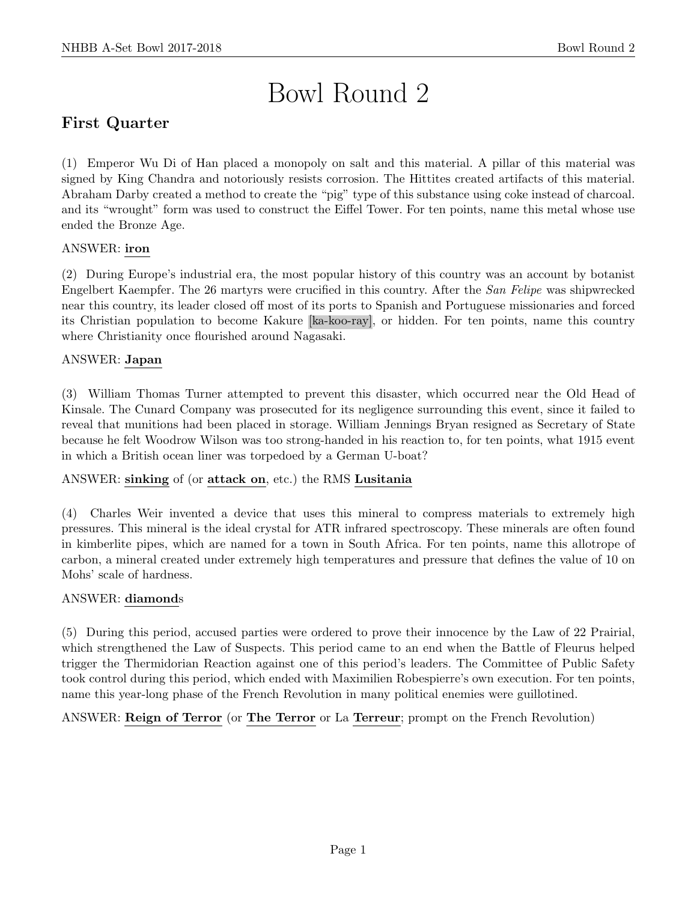# Bowl Round 2

# First Quarter

(1) Emperor Wu Di of Han placed a monopoly on salt and this material. A pillar of this material was signed by King Chandra and notoriously resists corrosion. The Hittites created artifacts of this material. Abraham Darby created a method to create the "pig" type of this substance using coke instead of charcoal. and its "wrought" form was used to construct the Eiffel Tower. For ten points, name this metal whose use ended the Bronze Age.

# ANSWER: iron

(2) During Europe's industrial era, the most popular history of this country was an account by botanist Engelbert Kaempfer. The 26 martyrs were crucified in this country. After the San Felipe was shipwrecked near this country, its leader closed off most of its ports to Spanish and Portuguese missionaries and forced its Christian population to become Kakure [ka-koo-ray], or hidden. For ten points, name this country where Christianity once flourished around Nagasaki.

# ANSWER: Japan

(3) William Thomas Turner attempted to prevent this disaster, which occurred near the Old Head of Kinsale. The Cunard Company was prosecuted for its negligence surrounding this event, since it failed to reveal that munitions had been placed in storage. William Jennings Bryan resigned as Secretary of State because he felt Woodrow Wilson was too strong-handed in his reaction to, for ten points, what 1915 event in which a British ocean liner was torpedoed by a German U-boat?

## ANSWER: sinking of (or attack on, etc.) the RMS Lusitania

(4) Charles Weir invented a device that uses this mineral to compress materials to extremely high pressures. This mineral is the ideal crystal for ATR infrared spectroscopy. These minerals are often found in kimberlite pipes, which are named for a town in South Africa. For ten points, name this allotrope of carbon, a mineral created under extremely high temperatures and pressure that defines the value of 10 on Mohs' scale of hardness.

## ANSWER: diamonds

(5) During this period, accused parties were ordered to prove their innocence by the Law of 22 Prairial, which strengthened the Law of Suspects. This period came to an end when the Battle of Fleurus helped trigger the Thermidorian Reaction against one of this period's leaders. The Committee of Public Safety took control during this period, which ended with Maximilien Robespierre's own execution. For ten points, name this year-long phase of the French Revolution in many political enemies were guillotined.

ANSWER: Reign of Terror (or The Terror or La Terreur; prompt on the French Revolution)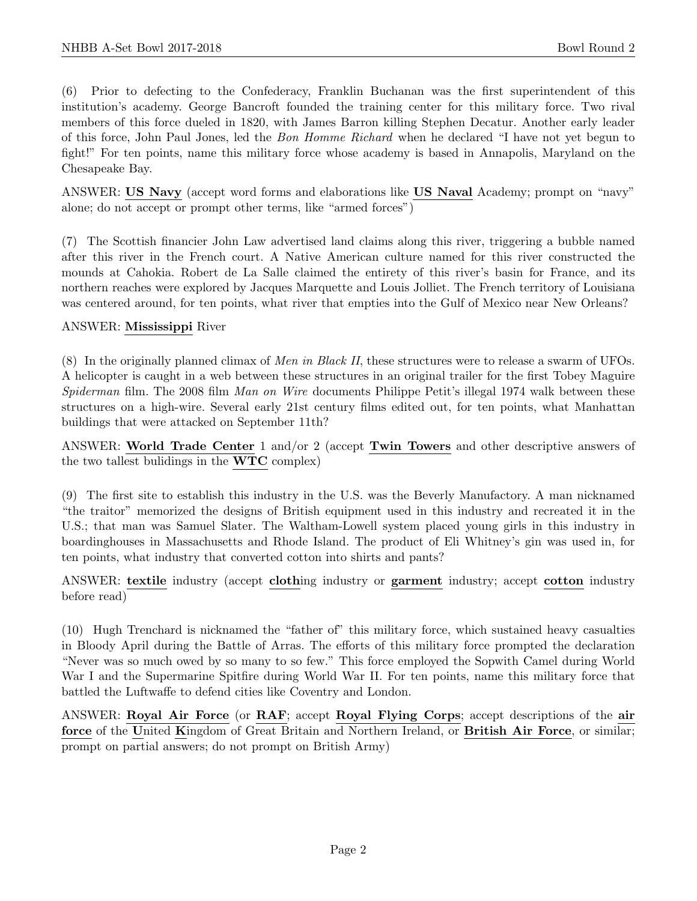(6) Prior to defecting to the Confederacy, Franklin Buchanan was the first superintendent of this institution's academy. George Bancroft founded the training center for this military force. Two rival members of this force dueled in 1820, with James Barron killing Stephen Decatur. Another early leader of this force, John Paul Jones, led the Bon Homme Richard when he declared "I have not yet begun to fight!" For ten points, name this military force whose academy is based in Annapolis, Maryland on the Chesapeake Bay.

ANSWER: US Navy (accept word forms and elaborations like US Naval Academy; prompt on "navy" alone; do not accept or prompt other terms, like "armed forces")

(7) The Scottish financier John Law advertised land claims along this river, triggering a bubble named after this river in the French court. A Native American culture named for this river constructed the mounds at Cahokia. Robert de La Salle claimed the entirety of this river's basin for France, and its northern reaches were explored by Jacques Marquette and Louis Jolliet. The French territory of Louisiana was centered around, for ten points, what river that empties into the Gulf of Mexico near New Orleans?

#### ANSWER: Mississippi River

(8) In the originally planned climax of Men in Black II, these structures were to release a swarm of UFOs. A helicopter is caught in a web between these structures in an original trailer for the first Tobey Maguire Spiderman film. The 2008 film Man on Wire documents Philippe Petit's illegal 1974 walk between these structures on a high-wire. Several early 21st century films edited out, for ten points, what Manhattan buildings that were attacked on September 11th?

ANSWER: World Trade Center 1 and/or 2 (accept Twin Towers and other descriptive answers of the two tallest bulidings in the WTC complex)

(9) The first site to establish this industry in the U.S. was the Beverly Manufactory. A man nicknamed "the traitor" memorized the designs of British equipment used in this industry and recreated it in the U.S.; that man was Samuel Slater. The Waltham-Lowell system placed young girls in this industry in boardinghouses in Massachusetts and Rhode Island. The product of Eli Whitney's gin was used in, for ten points, what industry that converted cotton into shirts and pants?

ANSWER: textile industry (accept clothing industry or garment industry; accept cotton industry before read)

(10) Hugh Trenchard is nicknamed the "father of" this military force, which sustained heavy casualties in Bloody April during the Battle of Arras. The efforts of this military force prompted the declaration "Never was so much owed by so many to so few." This force employed the Sopwith Camel during World War I and the Supermarine Spitfire during World War II. For ten points, name this military force that battled the Luftwaffe to defend cities like Coventry and London.

ANSWER: Royal Air Force (or RAF; accept Royal Flying Corps; accept descriptions of the air force of the United Kingdom of Great Britain and Northern Ireland, or British Air Force, or similar; prompt on partial answers; do not prompt on British Army)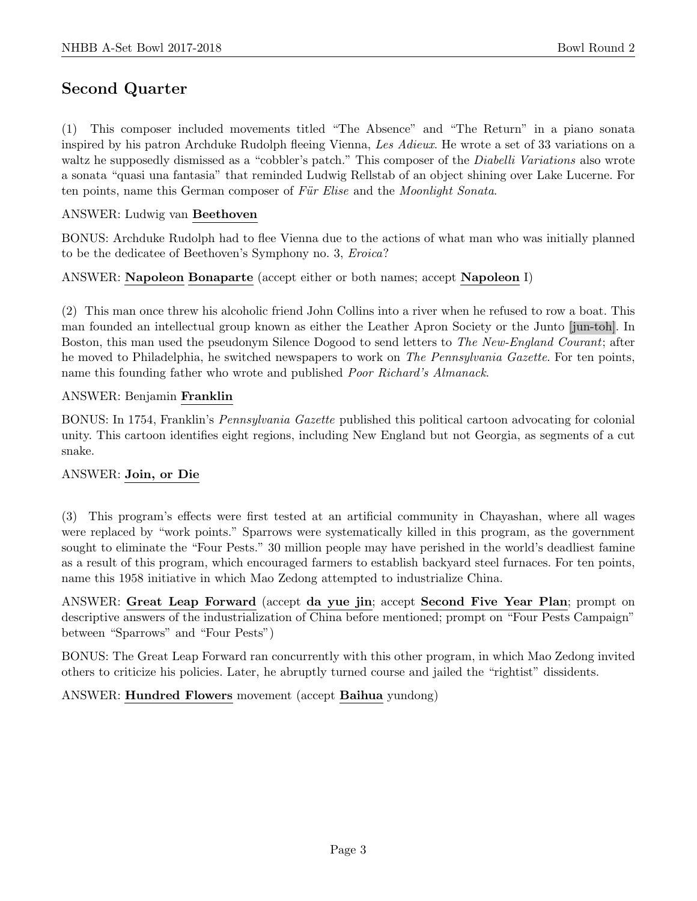# Second Quarter

(1) This composer included movements titled "The Absence" and "The Return" in a piano sonata inspired by his patron Archduke Rudolph fleeing Vienna, Les Adieux. He wrote a set of 33 variations on a waltz he supposedly dismissed as a "cobbler's patch." This composer of the *Diabelli Variations* also wrote a sonata "quasi una fantasia" that reminded Ludwig Rellstab of an object shining over Lake Lucerne. For ten points, name this German composer of Für Elise and the Moonlight Sonata.

## ANSWER: Ludwig van Beethoven

BONUS: Archduke Rudolph had to flee Vienna due to the actions of what man who was initially planned to be the dedicatee of Beethoven's Symphony no. 3, Eroica?

ANSWER: Napoleon Bonaparte (accept either or both names; accept Napoleon I)

(2) This man once threw his alcoholic friend John Collins into a river when he refused to row a boat. This man founded an intellectual group known as either the Leather Apron Society or the Junto [jun-toh]. In Boston, this man used the pseudonym Silence Dogood to send letters to The New-England Courant; after he moved to Philadelphia, he switched newspapers to work on The Pennsylvania Gazette. For ten points, name this founding father who wrote and published Poor Richard's Almanack.

## ANSWER: Benjamin Franklin

BONUS: In 1754, Franklin's Pennsylvania Gazette published this political cartoon advocating for colonial unity. This cartoon identifies eight regions, including New England but not Georgia, as segments of a cut snake.

## ANSWER: Join, or Die

(3) This program's effects were first tested at an artificial community in Chayashan, where all wages were replaced by "work points." Sparrows were systematically killed in this program, as the government sought to eliminate the "Four Pests." 30 million people may have perished in the world's deadliest famine as a result of this program, which encouraged farmers to establish backyard steel furnaces. For ten points, name this 1958 initiative in which Mao Zedong attempted to industrialize China.

ANSWER: Great Leap Forward (accept da yue jin; accept Second Five Year Plan; prompt on descriptive answers of the industrialization of China before mentioned; prompt on "Four Pests Campaign" between "Sparrows" and "Four Pests")

BONUS: The Great Leap Forward ran concurrently with this other program, in which Mao Zedong invited others to criticize his policies. Later, he abruptly turned course and jailed the "rightist" dissidents.

ANSWER: Hundred Flowers movement (accept Baihua yundong)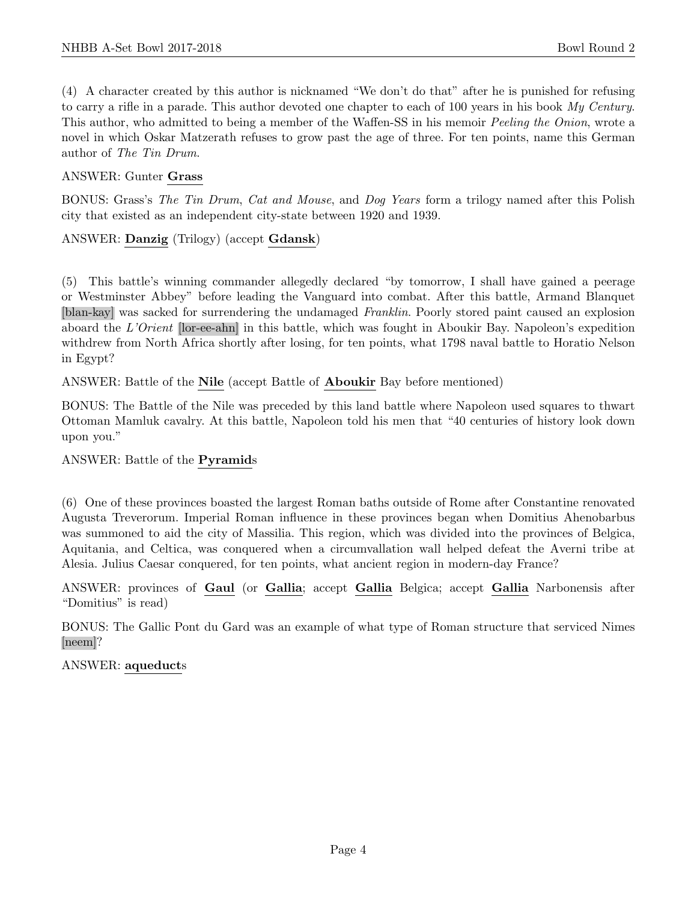(4) A character created by this author is nicknamed "We don't do that" after he is punished for refusing to carry a rifle in a parade. This author devoted one chapter to each of 100 years in his book My Century. This author, who admitted to being a member of the Waffen-SS in his memoir Peeling the Onion, wrote a novel in which Oskar Matzerath refuses to grow past the age of three. For ten points, name this German author of The Tin Drum.

# ANSWER: Gunter Grass

BONUS: Grass's The Tin Drum, Cat and Mouse, and Dog Years form a trilogy named after this Polish city that existed as an independent city-state between 1920 and 1939.

# ANSWER: Danzig (Trilogy) (accept Gdansk)

(5) This battle's winning commander allegedly declared "by tomorrow, I shall have gained a peerage or Westminster Abbey" before leading the Vanguard into combat. After this battle, Armand Blanquet [blan-kay] was sacked for surrendering the undamaged Franklin. Poorly stored paint caused an explosion aboard the L'Orient [lor-ee-ahn] in this battle, which was fought in Aboukir Bay. Napoleon's expedition withdrew from North Africa shortly after losing, for ten points, what 1798 naval battle to Horatio Nelson in Egypt?

ANSWER: Battle of the Nile (accept Battle of Aboukir Bay before mentioned)

BONUS: The Battle of the Nile was preceded by this land battle where Napoleon used squares to thwart Ottoman Mamluk cavalry. At this battle, Napoleon told his men that "40 centuries of history look down upon you."

## ANSWER: Battle of the Pyramids

(6) One of these provinces boasted the largest Roman baths outside of Rome after Constantine renovated Augusta Treverorum. Imperial Roman influence in these provinces began when Domitius Ahenobarbus was summoned to aid the city of Massilia. This region, which was divided into the provinces of Belgica, Aquitania, and Celtica, was conquered when a circumvallation wall helped defeat the Averni tribe at Alesia. Julius Caesar conquered, for ten points, what ancient region in modern-day France?

ANSWER: provinces of Gaul (or Gallia; accept Gallia Belgica; accept Gallia Narbonensis after "Domitius" is read)

BONUS: The Gallic Pont du Gard was an example of what type of Roman structure that serviced Nimes [neem]?

## ANSWER: aqueducts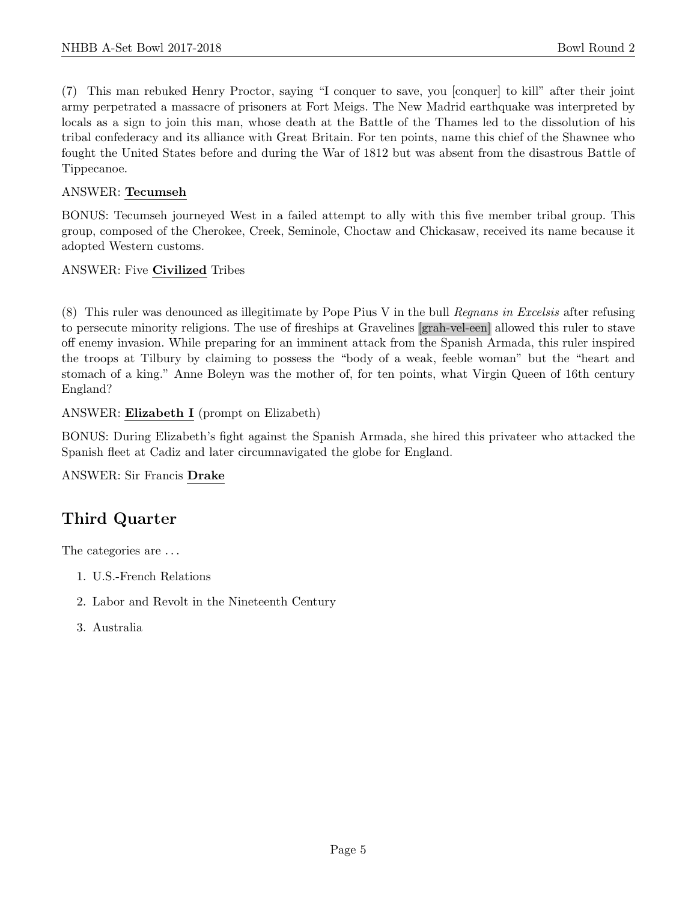(7) This man rebuked Henry Proctor, saying "I conquer to save, you [conquer] to kill" after their joint army perpetrated a massacre of prisoners at Fort Meigs. The New Madrid earthquake was interpreted by locals as a sign to join this man, whose death at the Battle of the Thames led to the dissolution of his tribal confederacy and its alliance with Great Britain. For ten points, name this chief of the Shawnee who fought the United States before and during the War of 1812 but was absent from the disastrous Battle of Tippecanoe.

# ANSWER: Tecumseh

BONUS: Tecumseh journeyed West in a failed attempt to ally with this five member tribal group. This group, composed of the Cherokee, Creek, Seminole, Choctaw and Chickasaw, received its name because it adopted Western customs.

ANSWER: Five Civilized Tribes

(8) This ruler was denounced as illegitimate by Pope Pius V in the bull Regnans in Excelsis after refusing to persecute minority religions. The use of fireships at Gravelines [grah-vel-een] allowed this ruler to stave off enemy invasion. While preparing for an imminent attack from the Spanish Armada, this ruler inspired the troops at Tilbury by claiming to possess the "body of a weak, feeble woman" but the "heart and stomach of a king." Anne Boleyn was the mother of, for ten points, what Virgin Queen of 16th century England?

ANSWER: Elizabeth I (prompt on Elizabeth)

BONUS: During Elizabeth's fight against the Spanish Armada, she hired this privateer who attacked the Spanish fleet at Cadiz and later circumnavigated the globe for England.

ANSWER: Sir Francis Drake

# Third Quarter

The categories are . . .

- 1. U.S.-French Relations
- 2. Labor and Revolt in the Nineteenth Century
- 3. Australia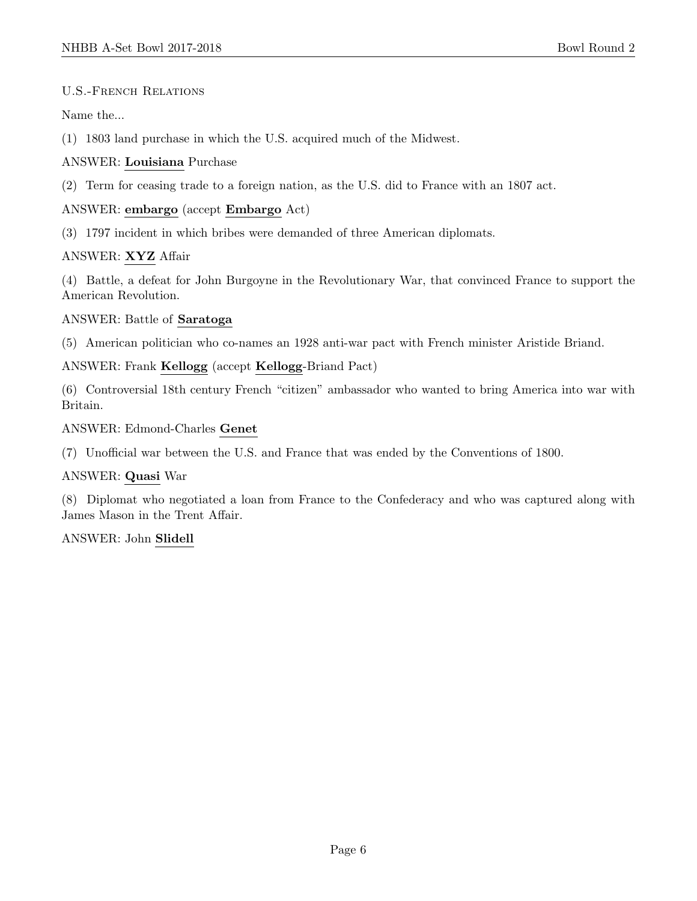#### U.S.-French Relations

Name the...

(1) 1803 land purchase in which the U.S. acquired much of the Midwest.

#### ANSWER: Louisiana Purchase

(2) Term for ceasing trade to a foreign nation, as the U.S. did to France with an 1807 act.

## ANSWER: embargo (accept Embargo Act)

(3) 1797 incident in which bribes were demanded of three American diplomats.

## ANSWER: XYZ Affair

(4) Battle, a defeat for John Burgoyne in the Revolutionary War, that convinced France to support the American Revolution.

ANSWER: Battle of Saratoga

(5) American politician who co-names an 1928 anti-war pact with French minister Aristide Briand.

#### ANSWER: Frank Kellogg (accept Kellogg-Briand Pact)

(6) Controversial 18th century French "citizen" ambassador who wanted to bring America into war with Britain.

ANSWER: Edmond-Charles Genet

(7) Unofficial war between the U.S. and France that was ended by the Conventions of 1800.

## ANSWER: Quasi War

(8) Diplomat who negotiated a loan from France to the Confederacy and who was captured along with James Mason in the Trent Affair.

ANSWER: John Slidell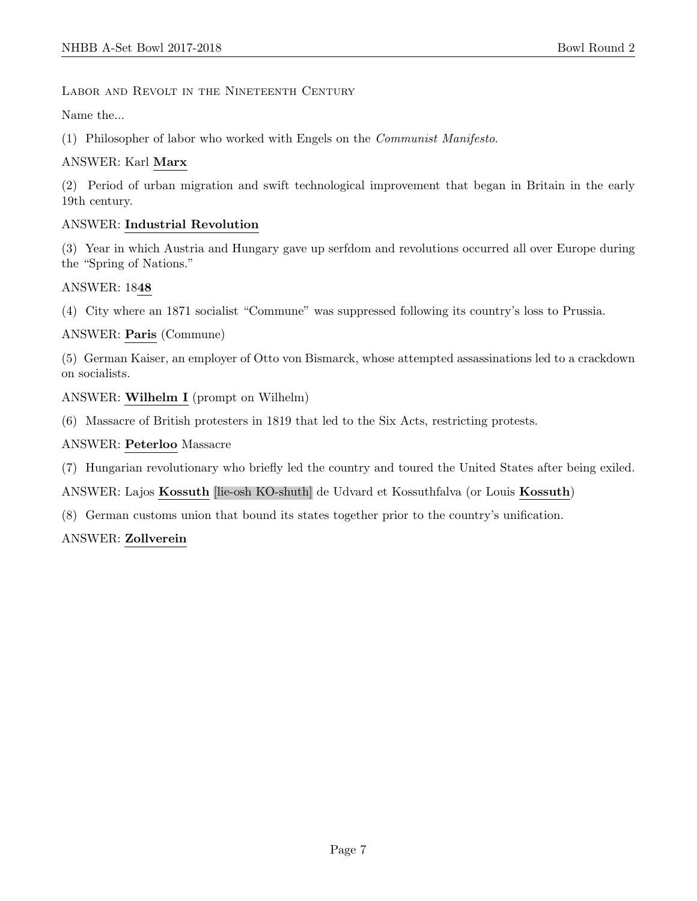Labor and Revolt in the Nineteenth Century

Name the...

(1) Philosopher of labor who worked with Engels on the Communist Manifesto.

# ANSWER: Karl Marx

(2) Period of urban migration and swift technological improvement that began in Britain in the early 19th century.

# ANSWER: Industrial Revolution

(3) Year in which Austria and Hungary gave up serfdom and revolutions occurred all over Europe during the "Spring of Nations."

# ANSWER: 1848

(4) City where an 1871 socialist "Commune" was suppressed following its country's loss to Prussia.

# ANSWER: Paris (Commune)

(5) German Kaiser, an employer of Otto von Bismarck, whose attempted assassinations led to a crackdown on socialists.

# ANSWER: Wilhelm I (prompt on Wilhelm)

(6) Massacre of British protesters in 1819 that led to the Six Acts, restricting protests.

# ANSWER: Peterloo Massacre

(7) Hungarian revolutionary who briefly led the country and toured the United States after being exiled.

# ANSWER: Lajos Kossuth [lie-osh KO-shuth] de Udvard et Kossuthfalva (or Louis Kossuth)

(8) German customs union that bound its states together prior to the country's unification.

# ANSWER: Zollverein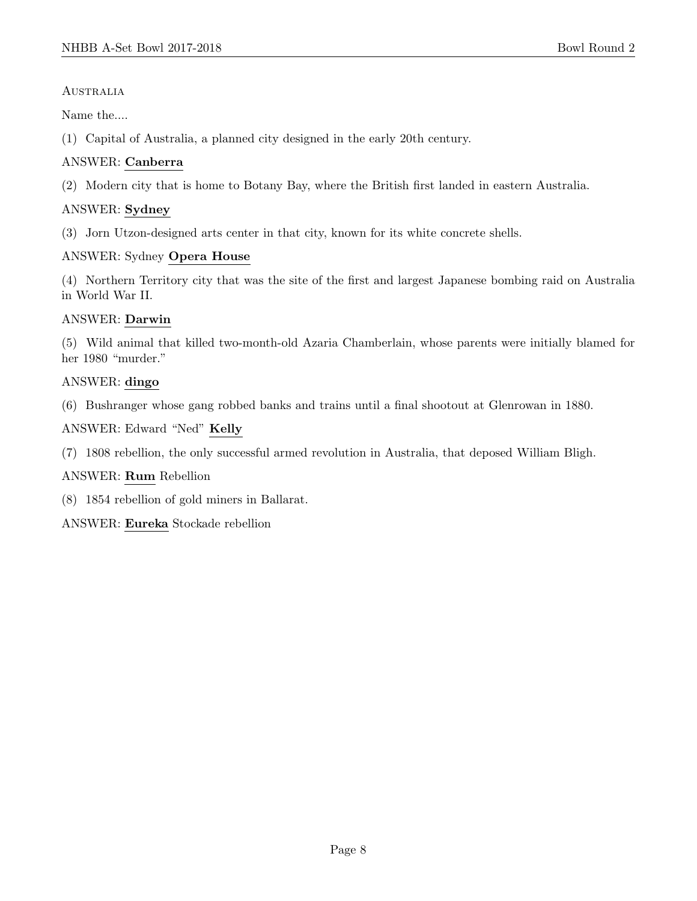## **AUSTRALIA**

Name the....

(1) Capital of Australia, a planned city designed in the early 20th century.

# ANSWER: Canberra

(2) Modern city that is home to Botany Bay, where the British first landed in eastern Australia.

# ANSWER: Sydney

(3) Jorn Utzon-designed arts center in that city, known for its white concrete shells.

# ANSWER: Sydney Opera House

(4) Northern Territory city that was the site of the first and largest Japanese bombing raid on Australia in World War II.

## ANSWER: Darwin

(5) Wild animal that killed two-month-old Azaria Chamberlain, whose parents were initially blamed for her 1980 "murder."

# ANSWER: dingo

(6) Bushranger whose gang robbed banks and trains until a final shootout at Glenrowan in 1880.

ANSWER: Edward "Ned" Kelly

(7) 1808 rebellion, the only successful armed revolution in Australia, that deposed William Bligh.

## ANSWER: Rum Rebellion

(8) 1854 rebellion of gold miners in Ballarat.

ANSWER: Eureka Stockade rebellion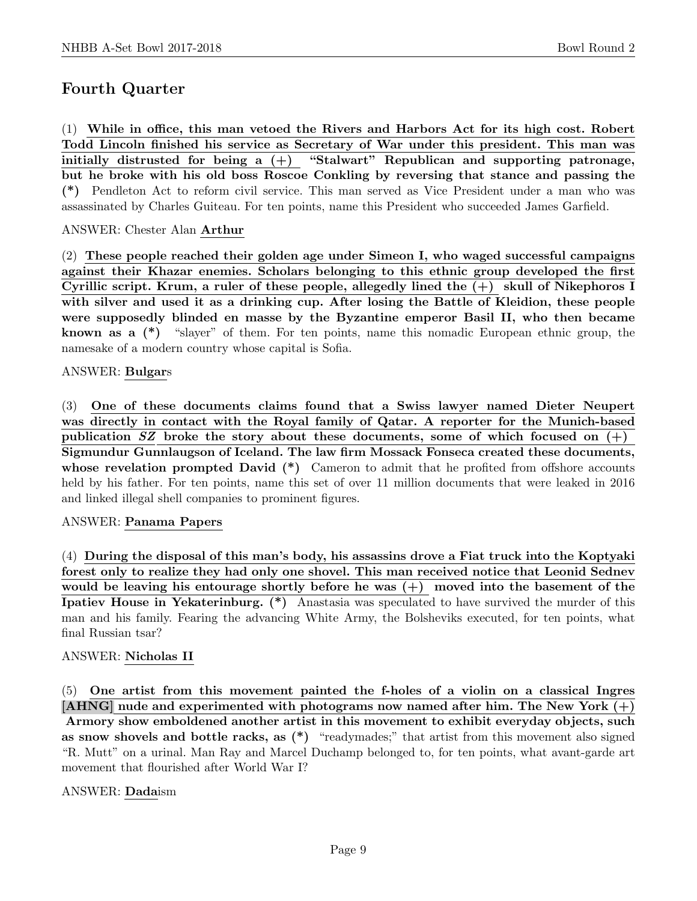# Fourth Quarter

(1) While in office, this man vetoed the Rivers and Harbors Act for its high cost. Robert Todd Lincoln finished his service as Secretary of War under this president. This man was initially distrusted for being a  $(+)$  "Stalwart" Republican and supporting patronage, but he broke with his old boss Roscoe Conkling by reversing that stance and passing the (\*) Pendleton Act to reform civil service. This man served as Vice President under a man who was assassinated by Charles Guiteau. For ten points, name this President who succeeded James Garfield.

## ANSWER: Chester Alan Arthur

(2) These people reached their golden age under Simeon I, who waged successful campaigns against their Khazar enemies. Scholars belonging to this ethnic group developed the first Cyrillic script. Krum, a ruler of these people, allegedly lined the (+) skull of Nikephoros I with silver and used it as a drinking cup. After losing the Battle of Kleidion, these people were supposedly blinded en masse by the Byzantine emperor Basil II, who then became **known as a**  $(*)$  "slayer" of them. For ten points, name this nomadic European ethnic group, the namesake of a modern country whose capital is Sofia.

#### ANSWER: Bulgars

(3) One of these documents claims found that a Swiss lawyer named Dieter Neupert was directly in contact with the Royal family of Qatar. A reporter for the Munich-based publication SZ broke the story about these documents, some of which focused on  $(+)$ Sigmundur Gunnlaugson of Iceland. The law firm Mossack Fonseca created these documents, whose revelation prompted David  $(*)$  Cameron to admit that he profited from offshore accounts held by his father. For ten points, name this set of over 11 million documents that were leaked in 2016 and linked illegal shell companies to prominent figures.

#### ANSWER: Panama Papers

(4) During the disposal of this man's body, his assassins drove a Fiat truck into the Koptyaki forest only to realize they had only one shovel. This man received notice that Leonid Sednev would be leaving his entourage shortly before he was  $(+)$  moved into the basement of the Ipatiev House in Yekaterinburg. (\*) Anastasia was speculated to have survived the murder of this man and his family. Fearing the advancing White Army, the Bolsheviks executed, for ten points, what final Russian tsar?

## ANSWER: Nicholas II

(5) One artist from this movement painted the f-holes of a violin on a classical Ingres [AHNG] nude and experimented with photograms now named after him. The New York  $(+)$ Armory show emboldened another artist in this movement to exhibit everyday objects, such as snow shovels and bottle racks, as (\*) "readymades;" that artist from this movement also signed "R. Mutt" on a urinal. Man Ray and Marcel Duchamp belonged to, for ten points, what avant-garde art movement that flourished after World War I?

## ANSWER: Dadaism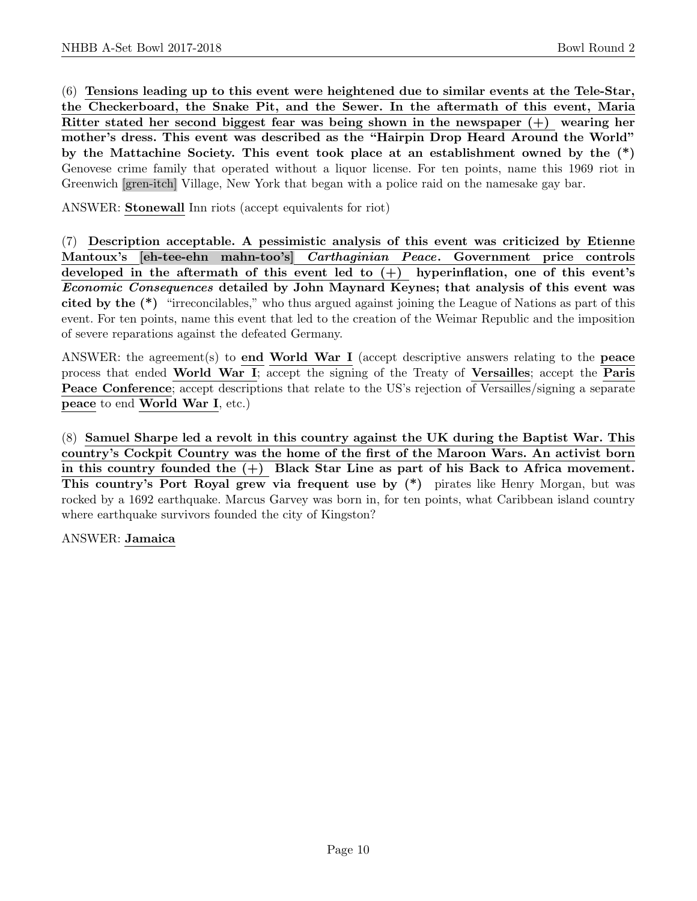(6) Tensions leading up to this event were heightened due to similar events at the Tele-Star, the Checkerboard, the Snake Pit, and the Sewer. In the aftermath of this event, Maria Ritter stated her second biggest fear was being shown in the newspaper (+) wearing her mother's dress. This event was described as the "Hairpin Drop Heard Around the World" by the Mattachine Society. This event took place at an establishment owned by the (\*) Genovese crime family that operated without a liquor license. For ten points, name this 1969 riot in Greenwich [gren-itch] Village, New York that began with a police raid on the namesake gay bar.

ANSWER: Stonewall Inn riots (accept equivalents for riot)

(7) Description acceptable. A pessimistic analysis of this event was criticized by Etienne Mantoux's [eh-tee-ehn mahn-too's] Carthaginian Peace. Government price controls developed in the aftermath of this event led to  $(+)$  hyperinflation, one of this event's Economic Consequences detailed by John Maynard Keynes; that analysis of this event was cited by the (\*) "irreconcilables," who thus argued against joining the League of Nations as part of this event. For ten points, name this event that led to the creation of the Weimar Republic and the imposition of severe reparations against the defeated Germany.

ANSWER: the agreement(s) to end World War I (accept descriptive answers relating to the peace process that ended World War I; accept the signing of the Treaty of Versailles; accept the Paris Peace Conference; accept descriptions that relate to the US's rejection of Versailles/signing a separate peace to end World War I, etc.)

(8) Samuel Sharpe led a revolt in this country against the UK during the Baptist War. This country's Cockpit Country was the home of the first of the Maroon Wars. An activist born in this country founded the  $(+)$  Black Star Line as part of his Back to Africa movement. This country's Port Royal grew via frequent use by (\*) pirates like Henry Morgan, but was rocked by a 1692 earthquake. Marcus Garvey was born in, for ten points, what Caribbean island country where earthquake survivors founded the city of Kingston?

ANSWER: Jamaica